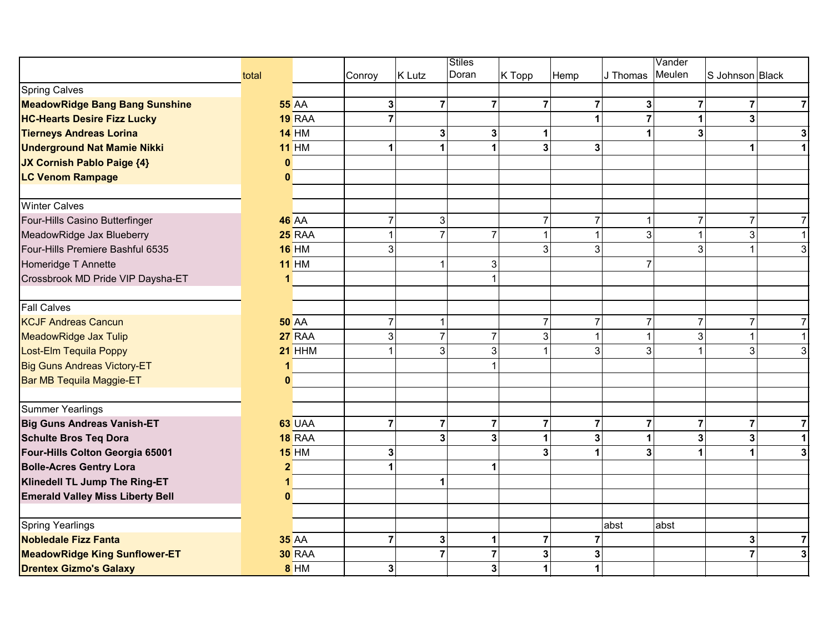|                                         |                |               |                |                         | Stiles                  |                |                |                | Vander                  |                         |                         |
|-----------------------------------------|----------------|---------------|----------------|-------------------------|-------------------------|----------------|----------------|----------------|-------------------------|-------------------------|-------------------------|
|                                         | total          |               | Conroy         | K Lutz                  | Doran                   | K Topp         | Hemp           | J Thomas       | Meulen                  | S Johnson Black         |                         |
| <b>Spring Calves</b>                    |                |               |                |                         |                         |                |                |                |                         |                         |                         |
| <b>MeadowRidge Bang Bang Sunshine</b>   |                | <b>55 AA</b>  | 3 <sup>1</sup> | $\overline{7}$          | $\overline{7}$          | $\overline{7}$ | $\overline{7}$ | 3              | $\overline{7}$          | $\overline{7}$          | $\overline{7}$          |
| <b>HC-Hearts Desire Fizz Lucky</b>      |                | 19 RAA        | $\overline{7}$ |                         |                         |                |                | $\overline{7}$ | $\mathbf{1}$            | $\overline{\mathbf{3}}$ |                         |
| <b>Tierneys Andreas Lorina</b>          |                | <b>14 HM</b>  |                | 3 <sup>1</sup>          | 3 <sup>1</sup>          |                |                | 1              | $\overline{\mathbf{3}}$ |                         | $\mathbf{3}$            |
| <b>Underground Nat Mamie Nikki</b>      |                | <b>11 HM</b>  |                | 1                       | 1                       | 3 <sup>1</sup> | 3              |                |                         | $\mathbf{1}$            | $\blacktriangleleft$    |
| <b>JX Cornish Pablo Paige {4}</b>       | $\bf{0}$       |               |                |                         |                         |                |                |                |                         |                         |                         |
| <b>LC Venom Rampage</b>                 | $\mathbf{0}$   |               |                |                         |                         |                |                |                |                         |                         |                         |
| <b>Winter Calves</b>                    |                |               |                |                         |                         |                |                |                |                         |                         |                         |
| Four-Hills Casino Butterfinger          |                | <b>46 AA</b>  | 7              | 3 <sup>1</sup>          |                         | 7              | $\overline{7}$ | $\mathbf 1$    | $\overline{7}$          | $\overline{7}$          | $\overline{7}$          |
| MeadowRidge Jax Blueberry               |                | <b>25 RAA</b> | 1              | $\overline{7}$          | $\overline{7}$          |                | $\overline{1}$ | 3              | $\mathbf{1}$            | $\overline{3}$          | $\mathbf{1}$            |
| Four-Hills Premiere Bashful 6535        |                | <b>16 HM</b>  | $\overline{3}$ |                         |                         | $\overline{3}$ | 3              |                | $\overline{3}$          |                         | $\overline{3}$          |
| Homeridge T Annette                     |                | <b>11 HM</b>  |                | $\mathbf{1}$            | 3 <sup>1</sup>          |                |                | $\overline{7}$ |                         |                         |                         |
| Crossbrook MD Pride VIP Daysha-ET       |                |               |                |                         |                         |                |                |                |                         |                         |                         |
| <b>Fall Calves</b>                      |                |               |                |                         |                         |                |                |                |                         |                         |                         |
| <b>KCJF Andreas Cancun</b>              |                | <b>50 AA</b>  | $\overline{7}$ | $\vert$                 |                         | $\overline{7}$ | $\overline{7}$ | $\overline{7}$ | $\overline{7}$          | $\overline{7}$          | $\overline{7}$          |
| <b>MeadowRidge Jax Tulip</b>            |                | <b>27 RAA</b> | 3 <sup>1</sup> | $\overline{7}$          | $\overline{7}$          | 3              | -1             | $\mathbf{1}$   | $\mathbf{3}$            | $\mathbf{1}$            | $\mathbf{1}$            |
| Lost-Elm Tequila Poppy                  |                | <b>21 HHM</b> |                | $\overline{3}$          | 3 <sup>1</sup>          |                | 3              | 3              | $\mathbf{1}$            | $\overline{3}$          | $\mathbf{3}$            |
| <b>Big Guns Andreas Victory-ET</b>      |                |               |                |                         |                         |                |                |                |                         |                         |                         |
| Bar MB Tequila Maggie-ET                | $\Omega$       |               |                |                         |                         |                |                |                |                         |                         |                         |
| <b>Summer Yearlings</b>                 |                |               |                |                         |                         |                |                |                |                         |                         |                         |
| <b>Big Guns Andreas Vanish-ET</b>       |                | <b>63 UAA</b> | $\overline{7}$ | $\mathbf{7}$            | $\overline{7}$          | $\overline{7}$ | $\overline{7}$ | $\overline{7}$ | $\overline{7}$          | $\overline{7}$          | $\overline{7}$          |
| <b>Schulte Bros Teq Dora</b>            |                | <b>18 RAA</b> |                | $\overline{\mathbf{3}}$ | 3 <sup>1</sup>          |                | $\mathbf{3}$   | 1              | $\overline{\mathbf{3}}$ | $\overline{\mathbf{3}}$ | $\overline{1}$          |
| Four-Hills Colton Georgia 65001         |                | <b>15 HM</b>  | 3              |                         |                         |                |                | 3              | 1                       |                         | $\mathbf{3}$            |
| <b>Bolle-Acres Gentry Lora</b>          | $\overline{2}$ |               |                |                         | 1                       |                |                |                |                         |                         |                         |
| Klinedell TL Jump The Ring-ET           | 1.             |               |                | $\mathbf{1}$            |                         |                |                |                |                         |                         |                         |
| <b>Emerald Valley Miss Liberty Bell</b> | n              |               |                |                         |                         |                |                |                |                         |                         |                         |
| <b>Spring Yearlings</b>                 |                |               |                |                         |                         |                |                | abst           | abst                    |                         |                         |
| <b>Nobledale Fizz Fanta</b>             |                | <b>35 AA</b>  | $\mathbf{7}$   | 3 <sup>1</sup>          | 1                       | $\overline{7}$ | $\overline{7}$ |                |                         | $\mathbf{3}$            | $\overline{7}$          |
| <b>MeadowRidge King Sunflower-ET</b>    |                | <b>30 RAA</b> |                | $\overline{7}$          | $\overline{7}$          | 3              | 3              |                |                         | $\overline{7}$          | $\overline{\mathbf{3}}$ |
| <b>Drentex Gizmo's Galaxy</b>           |                | <b>8 HM</b>   | 3 <sup>1</sup> |                         | $\overline{\mathbf{3}}$ | 1              | 1              |                |                         |                         |                         |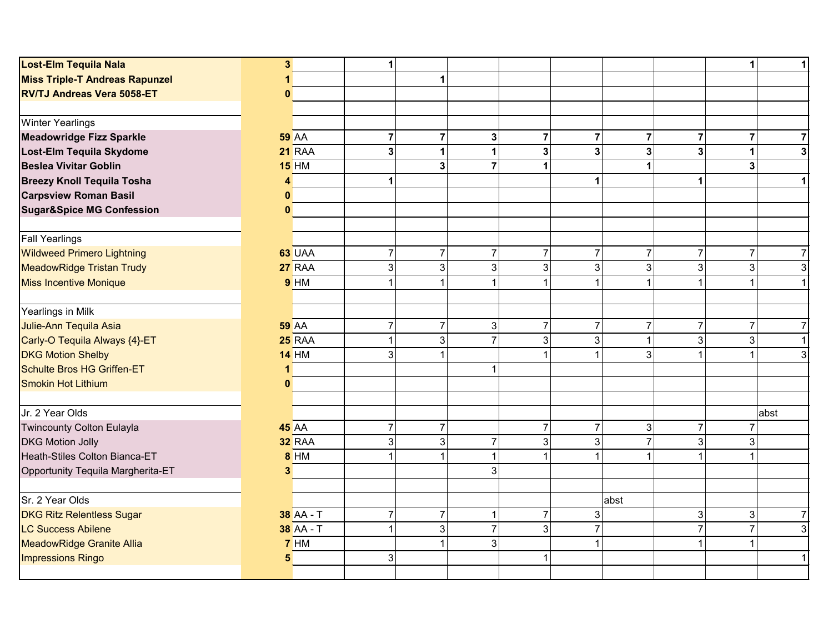| Lost-Elm Tequila Nala                 | $\mathbf{3}$ |                  | $\mathbf 1$    |                |                |                |                         |                |                           | 1                       | $\mathbf{1}$   |
|---------------------------------------|--------------|------------------|----------------|----------------|----------------|----------------|-------------------------|----------------|---------------------------|-------------------------|----------------|
| <b>Miss Triple-T Andreas Rapunzel</b> |              |                  |                | 1              |                |                |                         |                |                           |                         |                |
| <b>RV/TJ Andreas Vera 5058-ET</b>     | 0            |                  |                |                |                |                |                         |                |                           |                         |                |
|                                       |              |                  |                |                |                |                |                         |                |                           |                         |                |
| <b>Winter Yearlings</b>               |              |                  |                |                |                |                |                         |                |                           |                         |                |
| <b>Meadowridge Fizz Sparkle</b>       |              | <b>59 AA</b>     | $\overline{7}$ | $\overline{7}$ | 3              | 7              | $\overline{7}$          | 7              | $\overline{7}$            | $\overline{\mathbf{r}}$ | $\overline{7}$ |
| Lost-Elm Tequila Skydome              |              | <b>21 RAA</b>    | $\overline{3}$ | $\mathbf{1}$   | 1              | 3              | $\mathbf{3}$            | 3              | $\overline{\mathbf{3}}$   | $\mathbf{1}$            | $\mathbf{3}$   |
| <b>Beslea Vivitar Goblin</b>          |              | <b>15 HM</b>     |                | 3              | $\overline{7}$ |                |                         | 1              |                           | 3 <sup>1</sup>          |                |
| <b>Breezy Knoll Tequila Tosha</b>     | 4            |                  | 1              |                |                |                | $\mathbf 1$             |                | $\mathbf{1}$              |                         | $\mathbf{1}$   |
| <b>Carpsview Roman Basil</b>          | $\mathbf{0}$ |                  |                |                |                |                |                         |                |                           |                         |                |
| <b>Sugar&amp;Spice MG Confession</b>  | $\mathbf{0}$ |                  |                |                |                |                |                         |                |                           |                         |                |
| <b>Fall Yearlings</b>                 |              |                  |                |                |                |                |                         |                |                           |                         |                |
| <b>Wildweed Primero Lightning</b>     |              | 63 UAA           | $\overline{7}$ | $\overline{7}$ | $\overline{7}$ | $\overline{7}$ | $\overline{7}$          | $\overline{7}$ | $\overline{7}$            | $\overline{7}$          | $\overline{7}$ |
| <b>MeadowRidge Tristan Trudy</b>      |              | 27 RAA           | $\overline{3}$ | 3              | 3 <sup>1</sup> | 3              | $\mathbf{3}$            | 3              | $\sqrt{3}$                | 3 <sup>1</sup>          | $\mathbf{3}$   |
| <b>Miss Incentive Monique</b>         |              | 9 <sub>HM</sub>  | 1              | 1              | 1              |                | $\overline{1}$          | 1              | $\mathbf{1}$              |                         | $\mathbf{1}$   |
| Yearlings in Milk                     |              |                  |                |                |                |                |                         |                |                           |                         |                |
| Julie-Ann Tequila Asia                |              | <b>59 AA</b>     | $\overline{7}$ | $\overline{7}$ | 3 <sup>1</sup> | $\overline{7}$ | $\overline{7}$          | $\overline{7}$ | $\overline{7}$            | $\overline{7}$          | $\overline{7}$ |
| Carly-O Tequila Always {4}-ET         |              | <b>25 RAA</b>    | 1              | $\overline{3}$ | $\overline{7}$ | 3              | $\sqrt{3}$              | 1              | $\mathbf{3}$              | $\overline{3}$          | $\mathbf{1}$   |
| <b>DKG Motion Shelby</b>              |              | <b>14 HM</b>     | 3              | $\mathbf{1}$   |                |                | -1                      | 3              | $\mathbf{1}$              |                         | $\mathbf{3}$   |
| Schulte Bros HG Griffen-ET            |              |                  |                |                | 1              |                |                         |                |                           |                         |                |
| <b>Smokin Hot Lithium</b>             | $\mathbf{0}$ |                  |                |                |                |                |                         |                |                           |                         |                |
| Jr. 2 Year Olds                       |              |                  |                |                |                |                |                         |                |                           |                         | abst           |
| Twincounty Colton Eulayla             |              | <b>45 AA</b>     | $\overline{7}$ | $\overline{7}$ |                | $\overline{7}$ | $\overline{7}$          | $\sqrt{3}$     | $\overline{7}$            | $\overline{7}$          |                |
| <b>DKG Motion Jolly</b>               |              | <b>32 RAA</b>    | 3              | 3              | 7              | 3              | 3                       | $\overline{7}$ | 3                         | $\overline{3}$          |                |
| Heath-Stiles Colton Bianca-ET         |              | <b>8 HM</b>      |                | $\mathbf{1}$   | $\mathbf 1$    |                | -1                      | 1              | $\mathbf{1}$              | $\mathbf{1}$            |                |
| Opportunity Tequila Margherita-ET     | 3            |                  |                |                | 3              |                |                         |                |                           |                         |                |
| Sr. 2 Year Olds                       |              |                  |                |                |                |                |                         | abst           |                           |                         |                |
| <b>DKG Ritz Relentless Sugar</b>      |              | <b>38</b> AA - T | $\overline{7}$ | $\overline{7}$ |                | $\overline{7}$ | $\sqrt{3}$              |                | $\ensuremath{\mathsf{3}}$ | $\mathbf{3}$            | $\overline{7}$ |
| <b>LC Success Abilene</b>             |              | 38 AA - T        | $\overline{1}$ | 3              | $\overline{7}$ | 3              | $\overline{7}$          |                | $\overline{7}$            | $\overline{7}$          | 3              |
| <b>MeadowRidge Granite Allia</b>      |              | 7HM              |                | $\mathbf{1}$   | 3              |                | $\overline{\mathbf{1}}$ |                | $\mathbf{1}$              | $\mathbf{1}$            |                |
| <b>Impressions Ringo</b>              | 5            |                  | $\mathbf{3}$   |                |                |                |                         |                |                           |                         | $\mathbf{1}$   |